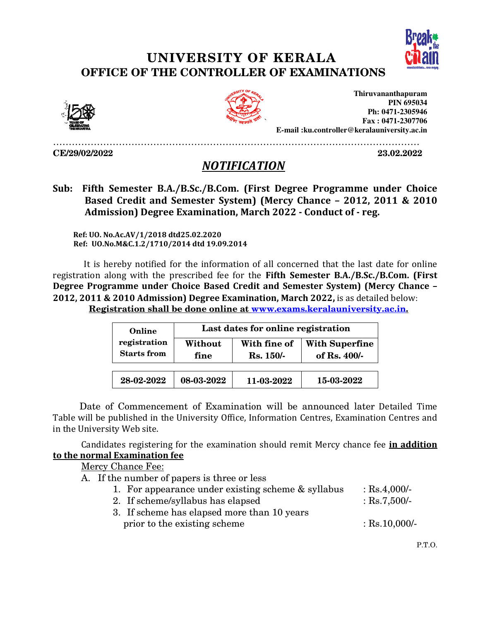## UNIVERSITY OF KERALA OFFICE OF THE CONTROLLER OF EXAMINATIONS



23.02.2022



`

**Thiruvananthapuram E-mail :ku.controller@keralauniversity.ac.in mail PIN 695034 Ph: 0471-2305946 Fax : 0471-2307706** 

………………………………………………………………………………………………………

CE/29/02/2022

## **NOTIFICATION**

 Sub: Fifth Semester B.A./B.Sc./B.Com. (First Degree Programme under Choice Based Credit and Semester System) (Mercy Chance - 2012, 2011 & 2010 Admission) Degree Examination, March 2022 - Conduct of - reg.

 Ref: UO. No.Ac.AV/1/2018 dtd25.02.2020 Ref: UO.No.M&C.1.2/1710/2014 Ref: UO.No.M&C.1.2/1710/2014 dtd 19.09.2014

 It is hereby notified for the information of all concerned that the last date for online It is hereby notified for the information of all concerned that the last date for online<br>registration along with the prescribed fee for the **Fifth Semester B.A./B.Sc./B.Com. (First** Degree Programme under Choice Based Credit and Semester System) (Mercy Chance – Degree Programme under Choice Based Credit and Semester System) (Mercy Chan<br>2012, 2011 & 2010 Admission) Degree Examination, March 2022, is as detailed below: <u>Registration shall be done online at www.exams.keralauniversity.ac.in.</u>

| Online<br>registration<br><b>Starts</b> from | Last dates for online registration |                                  |                                         |
|----------------------------------------------|------------------------------------|----------------------------------|-----------------------------------------|
|                                              | Without<br>fine                    | With fine of<br><b>Rs. 150/-</b> | <b>With Superfine</b><br>of Rs. $400/-$ |
| 28-02-2022                                   | 08-03-2022                         | 11-03-2022                       | 15-03-2022                              |

Date of Commencement of Examination will be announced later Detailed Time Table will be published in the University Office, Information Centres, Examination Centres and in the University Web site. vill be published in the University Office, Information Centres, Examination Centres and<br>Jniversity Web site.<br>Candidates registering for the examination should remit Mercy chance fee <mark>in addition</mark>

<u>to the normal Examination fee</u>

Mercy Chance Fee:

- A. If the number of papers is three or less
	- 1. For appearance under existing scheme & syllabus the number of papers is three or less<br>1. For appearance under existing scheme<br>2. If scheme/syllabus has elapsed : Rs.4,000/- : Rs.7,500/-
	- 2. If scheme/syllabus has elapsed
	- 3. If scheme has elapsed more than 10 years prior to the existing scheme : Rs.10,000/-